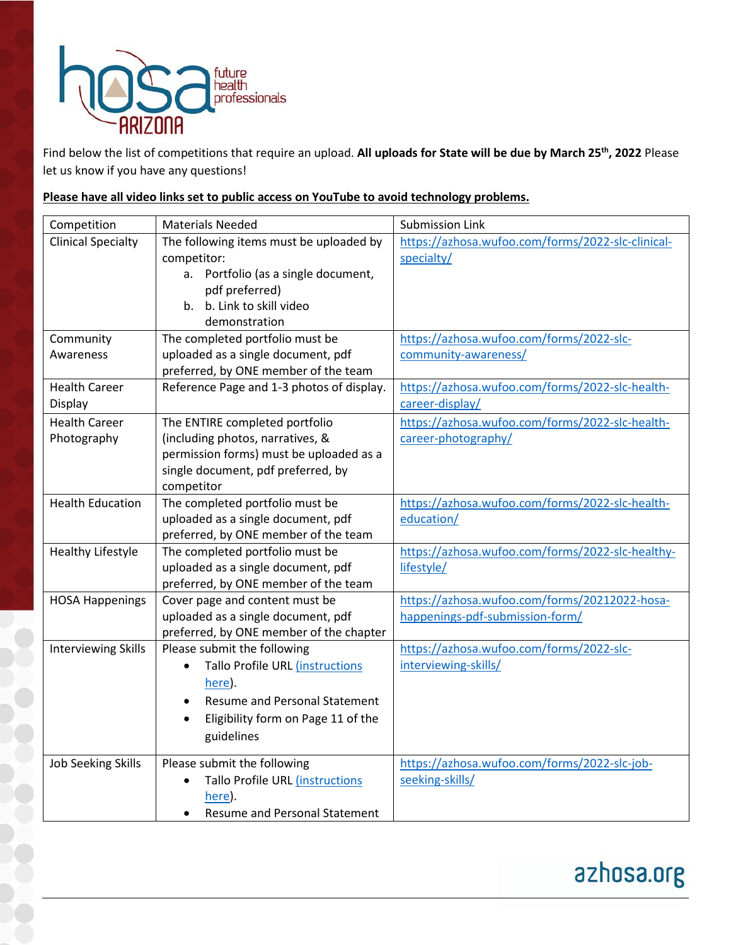

Find below the list of competitions that require an upload. **All uploads for State will be due by March 25th, 2022** Please let us know if you have any questions!

## **Please have all video links set to public access on YouTube to avoid technology problems.**

| Competition                | <b>Materials Needed</b>                         | <b>Submission Link</b>                            |
|----------------------------|-------------------------------------------------|---------------------------------------------------|
| <b>Clinical Specialty</b>  | The following items must be uploaded by         | https://azhosa.wufoo.com/forms/2022-slc-clinical- |
|                            | competitor:                                     | specialty/                                        |
|                            | Portfolio (as a single document,<br>а.          |                                                   |
|                            | pdf preferred)                                  |                                                   |
|                            | b. Link to skill video<br>b.                    |                                                   |
|                            | demonstration                                   |                                                   |
| Community                  | The completed portfolio must be                 | https://azhosa.wufoo.com/forms/2022-slc-          |
| Awareness                  | uploaded as a single document, pdf              | community-awareness/                              |
|                            | preferred, by ONE member of the team            |                                                   |
| <b>Health Career</b>       | Reference Page and 1-3 photos of display.       | https://azhosa.wufoo.com/forms/2022-slc-health-   |
| Display                    |                                                 | career-display/                                   |
| <b>Health Career</b>       | The ENTIRE completed portfolio                  | https://azhosa.wufoo.com/forms/2022-slc-health-   |
| Photography                | (including photos, narratives, &                | career-photography/                               |
|                            | permission forms) must be uploaded as a         |                                                   |
|                            | single document, pdf preferred, by              |                                                   |
|                            | competitor                                      |                                                   |
| <b>Health Education</b>    | The completed portfolio must be                 | https://azhosa.wufoo.com/forms/2022-slc-health-   |
|                            | uploaded as a single document, pdf              | education/                                        |
|                            | preferred, by ONE member of the team            |                                                   |
| <b>Healthy Lifestyle</b>   | The completed portfolio must be                 | https://azhosa.wufoo.com/forms/2022-slc-healthy-  |
|                            | uploaded as a single document, pdf              | lifestyle/                                        |
|                            | preferred, by ONE member of the team            |                                                   |
| <b>HOSA Happenings</b>     | Cover page and content must be                  | https://azhosa.wufoo.com/forms/20212022-hosa-     |
|                            | uploaded as a single document, pdf              | happenings-pdf-submission-form/                   |
|                            | preferred, by ONE member of the chapter         |                                                   |
| <b>Interviewing Skills</b> | Please submit the following                     | https://azhosa.wufoo.com/forms/2022-slc-          |
|                            | Tallo Profile URL (instructions                 | interviewing-skills/                              |
|                            | here).                                          |                                                   |
|                            | <b>Resume and Personal Statement</b>            |                                                   |
|                            | Eligibility form on Page 11 of the<br>$\bullet$ |                                                   |
|                            | guidelines                                      |                                                   |
|                            |                                                 |                                                   |
| <b>Job Seeking Skills</b>  | Please submit the following                     | https://azhosa.wufoo.com/forms/2022-slc-job-      |
|                            | Tallo Profile URL (instructions                 | seeking-skills/                                   |
|                            | here).                                          |                                                   |
|                            | <b>Resume and Personal Statement</b>            |                                                   |

## azhosa.org